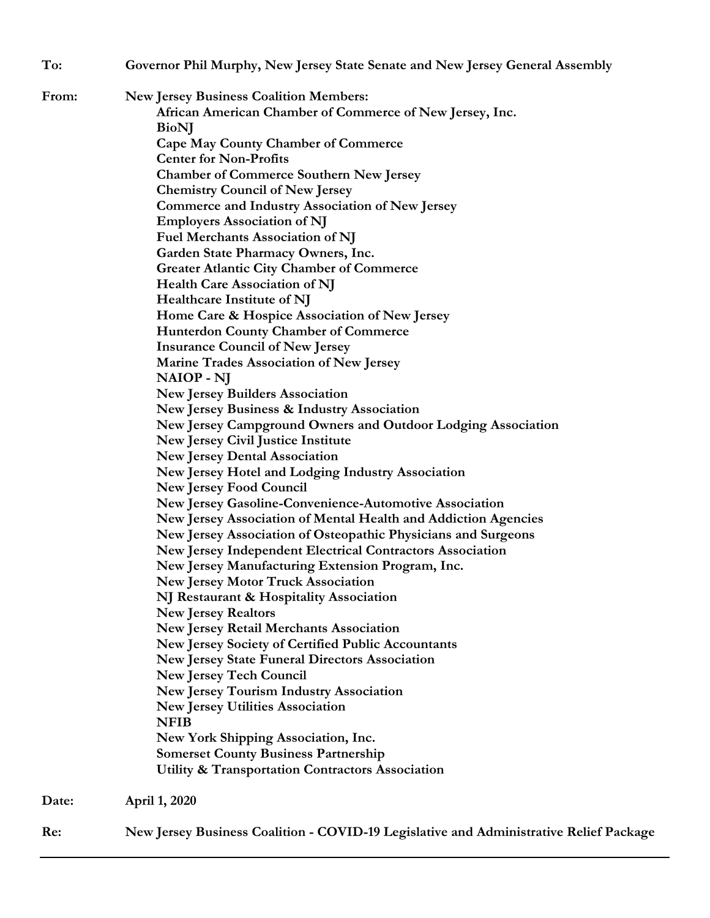| To:   | Governor Phil Murphy, New Jersey State Senate and New Jersey General Assembly          |
|-------|----------------------------------------------------------------------------------------|
| From: | <b>New Jersey Business Coalition Members:</b>                                          |
|       | African American Chamber of Commerce of New Jersey, Inc.                               |
|       | <b>BioNJ</b>                                                                           |
|       | <b>Cape May County Chamber of Commerce</b>                                             |
|       | <b>Center for Non-Profits</b>                                                          |
|       | <b>Chamber of Commerce Southern New Jersey</b>                                         |
|       | <b>Chemistry Council of New Jersey</b>                                                 |
|       | <b>Commerce and Industry Association of New Jersey</b>                                 |
|       | <b>Employers Association of NJ</b>                                                     |
|       | <b>Fuel Merchants Association of NJ</b>                                                |
|       | Garden State Pharmacy Owners, Inc.                                                     |
|       | <b>Greater Atlantic City Chamber of Commerce</b>                                       |
|       | Health Care Association of NJ                                                          |
|       | <b>Healthcare Institute of NJ</b>                                                      |
|       | Home Care & Hospice Association of New Jersey                                          |
|       | <b>Hunterdon County Chamber of Commerce</b>                                            |
|       | <b>Insurance Council of New Jersey</b>                                                 |
|       | Marine Trades Association of New Jersey                                                |
|       | <b>NAIOP</b> - NJ                                                                      |
|       | <b>New Jersey Builders Association</b>                                                 |
|       | <b>New Jersey Business &amp; Industry Association</b>                                  |
|       | New Jersey Campground Owners and Outdoor Lodging Association                           |
|       | New Jersey Civil Justice Institute                                                     |
|       | <b>New Jersey Dental Association</b>                                                   |
|       | New Jersey Hotel and Lodging Industry Association                                      |
|       | <b>New Jersey Food Council</b>                                                         |
|       | New Jersey Gasoline-Convenience-Automotive Association                                 |
|       | New Jersey Association of Mental Health and Addiction Agencies                         |
|       | New Jersey Association of Osteopathic Physicians and Surgeons                          |
|       | New Jersey Independent Electrical Contractors Association                              |
|       | New Jersey Manufacturing Extension Program, Inc.                                       |
|       | <b>New Jersey Motor Truck Association</b>                                              |
|       | NJ Restaurant & Hospitality Association                                                |
|       | <b>New Jersey Realtors</b>                                                             |
|       | New Jersey Retail Merchants Association                                                |
|       | New Jersey Society of Certified Public Accountants                                     |
|       | <b>New Jersey State Funeral Directors Association</b>                                  |
|       | <b>New Jersey Tech Council</b>                                                         |
|       | <b>New Jersey Tourism Industry Association</b>                                         |
|       | <b>New Jersey Utilities Association</b>                                                |
|       | <b>NFIB</b>                                                                            |
|       | New York Shipping Association, Inc.                                                    |
|       | <b>Somerset County Business Partnership</b>                                            |
|       | <b>Utility &amp; Transportation Contractors Association</b>                            |
| Date: | April 1, 2020                                                                          |
| Re:   | New Jersey Business Coalition - COVID-19 Legislative and Administrative Relief Package |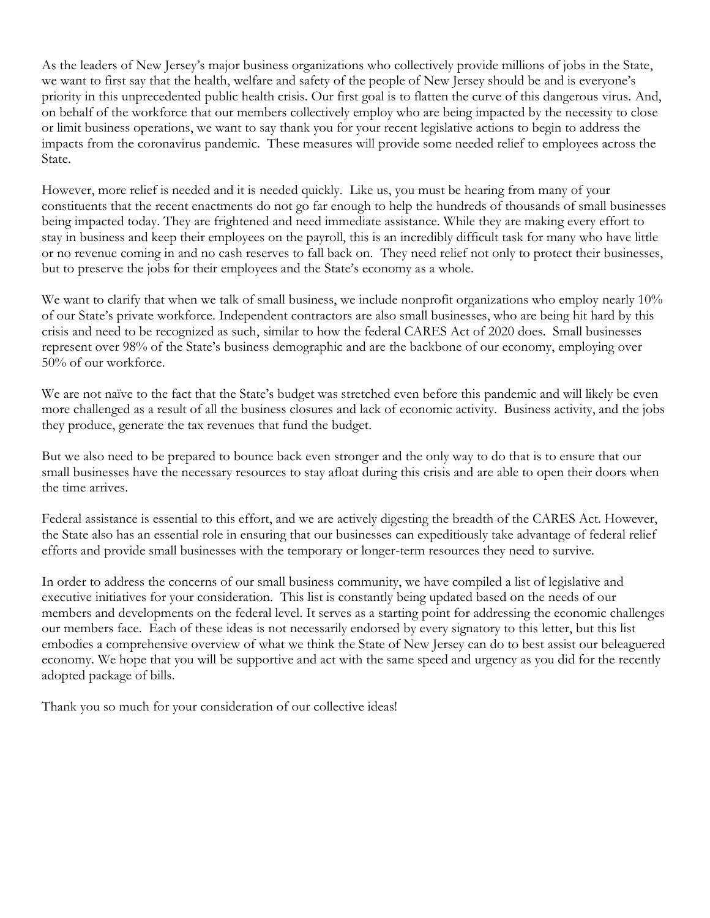As the leaders of New Jersey's major business organizations who collectively provide millions of jobs in the State, we want to first say that the health, welfare and safety of the people of New Jersey should be and is everyone's priority in this unprecedented public health crisis. Our first goal is to flatten the curve of this dangerous virus. And, on behalf of the workforce that our members collectively employ who are being impacted by the necessity to close or limit business operations, we want to say thank you for your recent legislative actions to begin to address the impacts from the coronavirus pandemic. These measures will provide some needed relief to employees across the State.

However, more relief is needed and it is needed quickly. Like us, you must be hearing from many of your constituents that the recent enactments do not go far enough to help the hundreds of thousands of small businesses being impacted today. They are frightened and need immediate assistance. While they are making every effort to stay in business and keep their employees on the payroll, this is an incredibly difficult task for many who have little or no revenue coming in and no cash reserves to fall back on. They need relief not only to protect their businesses, but to preserve the jobs for their employees and the State's economy as a whole.

We want to clarify that when we talk of small business, we include nonprofit organizations who employ nearly 10% of our State's private workforce. Independent contractors are also small businesses, who are being hit hard by this crisis and need to be recognized as such, similar to how the federal CARES Act of 2020 does. Small businesses represent over 98% of the State's business demographic and are the backbone of our economy, employing over 50% of our workforce.

We are not naïve to the fact that the State's budget was stretched even before this pandemic and will likely be even more challenged as a result of all the business closures and lack of economic activity. Business activity, and the jobs they produce, generate the tax revenues that fund the budget.

But we also need to be prepared to bounce back even stronger and the only way to do that is to ensure that our small businesses have the necessary resources to stay afloat during this crisis and are able to open their doors when the time arrives.

Federal assistance is essential to this effort, and we are actively digesting the breadth of the CARES Act. However, the State also has an essential role in ensuring that our businesses can expeditiously take advantage of federal relief efforts and provide small businesses with the temporary or longer-term resources they need to survive.

In order to address the concerns of our small business community, we have compiled a list of legislative and executive initiatives for your consideration. This list is constantly being updated based on the needs of our members and developments on the federal level. It serves as a starting point for addressing the economic challenges our members face. Each of these ideas is not necessarily endorsed by every signatory to this letter, but this list embodies a comprehensive overview of what we think the State of New Jersey can do to best assist our beleaguered economy. We hope that you will be supportive and act with the same speed and urgency as you did for the recently adopted package of bills.

Thank you so much for your consideration of our collective ideas!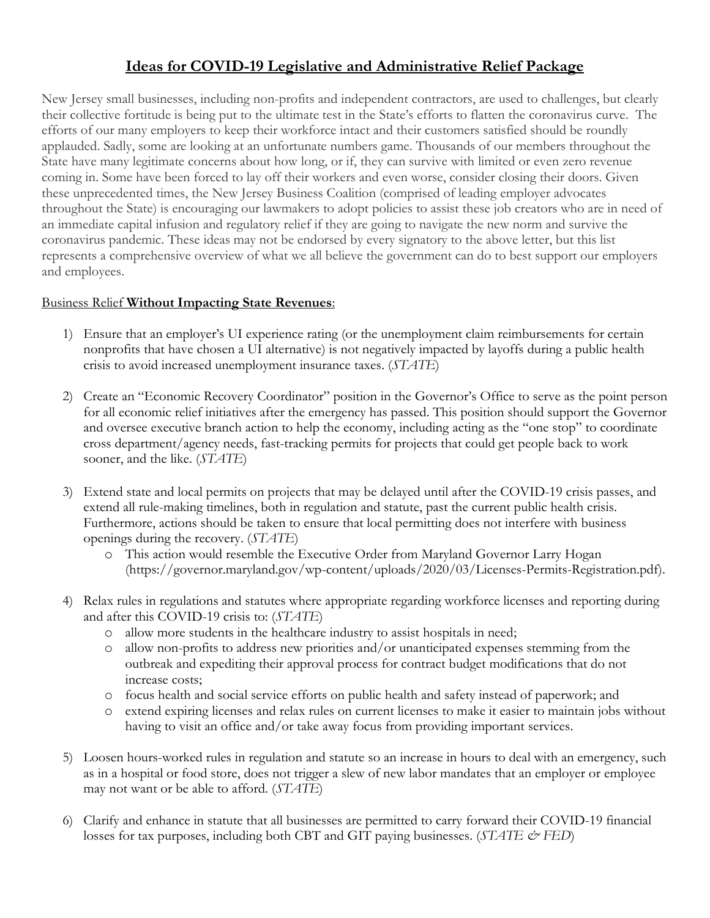## **Ideas for COVID-19 Legislative and Administrative Relief Package**

New Jersey small businesses, including non-profits and independent contractors, are used to challenges, but clearly their collective fortitude is being put to the ultimate test in the State's efforts to flatten the coronavirus curve. The efforts of our many employers to keep their workforce intact and their customers satisfied should be roundly applauded. Sadly, some are looking at an unfortunate numbers game. Thousands of our members throughout the State have many legitimate concerns about how long, or if, they can survive with limited or even zero revenue coming in. Some have been forced to lay off their workers and even worse, consider closing their doors. Given these unprecedented times, the New Jersey Business Coalition (comprised of leading employer advocates throughout the State) is encouraging our lawmakers to adopt policies to assist these job creators who are in need of an immediate capital infusion and regulatory relief if they are going to navigate the new norm and survive the coronavirus pandemic. These ideas may not be endorsed by every signatory to the above letter, but this list represents a comprehensive overview of what we all believe the government can do to best support our employers and employees.

## Business Relief **Without Impacting State Revenues**:

- 1) Ensure that an employer's UI experience rating (or the unemployment claim reimbursements for certain nonprofits that have chosen a UI alternative) is not negatively impacted by layoffs during a public health crisis to avoid increased unemployment insurance taxes. (*STATE*)
- 2) Create an "Economic Recovery Coordinator" position in the Governor's Office to serve as the point person for all economic relief initiatives after the emergency has passed. This position should support the Governor and oversee executive branch action to help the economy, including acting as the "one stop" to coordinate cross department/agency needs, fast-tracking permits for projects that could get people back to work sooner, and the like. (*STATE*)
- 3) Extend state and local permits on projects that may be delayed until after the COVID-19 crisis passes, and extend all rule-making timelines, both in regulation and statute, past the current public health crisis. Furthermore, actions should be taken to ensure that local permitting does not interfere with business openings during the recovery. (*STATE*)
	- o This action would resemble the Executive Order from Maryland Governor Larry Hogan (https://governor.maryland.gov/wp-content/uploads/2020/03/Licenses-Permits-Registration.pdf).
- 4) Relax rules in regulations and statutes where appropriate regarding workforce licenses and reporting during and after this COVID-19 crisis to: (*STATE*)
	- o allow more students in the healthcare industry to assist hospitals in need;
	- o allow non-profits to address new priorities and/or unanticipated expenses stemming from the outbreak and expediting their approval process for contract budget modifications that do not increase costs;
	- o focus health and social service efforts on public health and safety instead of paperwork; and
	- o extend expiring licenses and relax rules on current licenses to make it easier to maintain jobs without having to visit an office and/or take away focus from providing important services.
- 5) Loosen hours-worked rules in regulation and statute so an increase in hours to deal with an emergency, such as in a hospital or food store, does not trigger a slew of new labor mandates that an employer or employee may not want or be able to afford. (*STATE*)
- 6) Clarify and enhance in statute that all businesses are permitted to carry forward their COVID-19 financial losses for tax purposes, including both CBT and GIT paying businesses. (*STATE & FED*)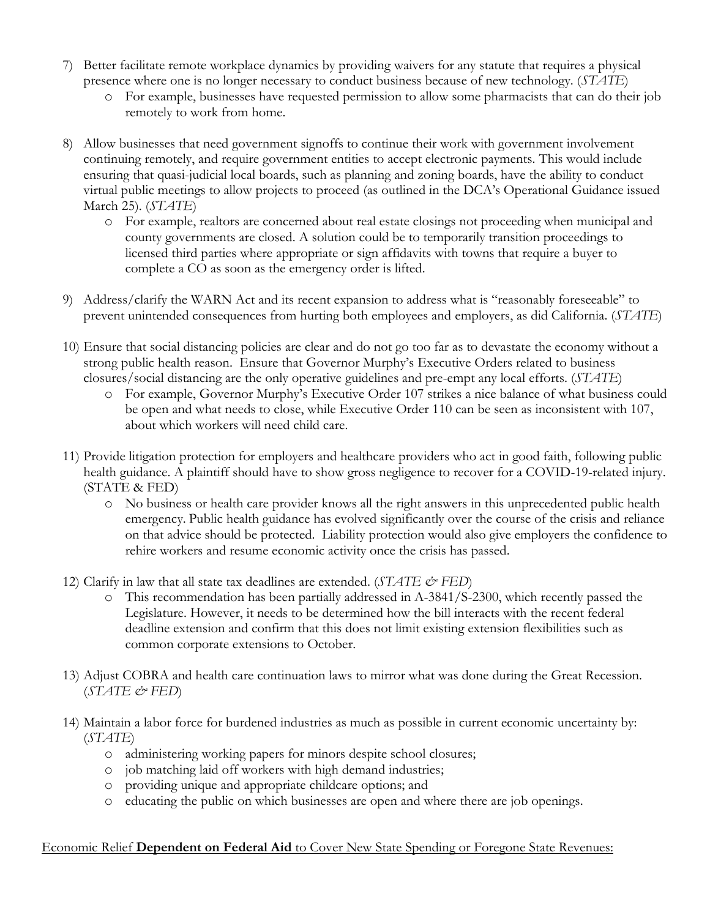- 7) Better facilitate remote workplace dynamics by providing waivers for any statute that requires a physical presence where one is no longer necessary to conduct business because of new technology. (*STATE*)
	- o For example, businesses have requested permission to allow some pharmacists that can do their job remotely to work from home.
- 8) Allow businesses that need government signoffs to continue their work with government involvement continuing remotely, and require government entities to accept electronic payments. This would include ensuring that quasi-judicial local boards, such as planning and zoning boards, have the ability to conduct virtual public meetings to allow projects to proceed (as outlined in the DCA's Operational Guidance issued March 25). (*STATE*)
	- o For example, realtors are concerned about real estate closings not proceeding when municipal and county governments are closed. A solution could be to temporarily transition proceedings to licensed third parties where appropriate or sign affidavits with towns that require a buyer to complete a CO as soon as the emergency order is lifted.
- 9) Address/clarify the WARN Act and its recent expansion to address what is "reasonably foreseeable" to prevent unintended consequences from hurting both employees and employers, as did California. (*STATE*)
- 10) Ensure that social distancing policies are clear and do not go too far as to devastate the economy without a strong public health reason. Ensure that Governor Murphy's Executive Orders related to business closures/social distancing are the only operative guidelines and pre-empt any local efforts. (*STATE*)
	- o For example, Governor Murphy's Executive Order 107 strikes a nice balance of what business could be open and what needs to close, while Executive Order 110 can be seen as inconsistent with 107, about which workers will need child care.
- 11) Provide litigation protection for employers and healthcare providers who act in good faith, following public health guidance. A plaintiff should have to show gross negligence to recover for a COVID-19-related injury. (STATE & FED)
	- o No business or health care provider knows all the right answers in this unprecedented public health emergency. Public health guidance has evolved significantly over the course of the crisis and reliance on that advice should be protected. Liability protection would also give employers the confidence to rehire workers and resume economic activity once the crisis has passed.
- 12) Clarify in law that all state tax deadlines are extended. (*STATE & FED*)
	- o This recommendation has been partially addressed in A-3841/S-2300, which recently passed the Legislature. However, it needs to be determined how the bill interacts with the recent federal deadline extension and confirm that this does not limit existing extension flexibilities such as common corporate extensions to October.
- 13) Adjust COBRA and health care continuation laws to mirror what was done during the Great Recession. (*STATE & FED*)
- 14) Maintain a labor force for burdened industries as much as possible in current economic uncertainty by: (*STATE*)
	- o administering working papers for minors despite school closures;
	- o job matching laid off workers with high demand industries;
	- o providing unique and appropriate childcare options; and
	- o educating the public on which businesses are open and where there are job openings.

## Economic Relief **Dependent on Federal Aid** to Cover New State Spending or Foregone State Revenues: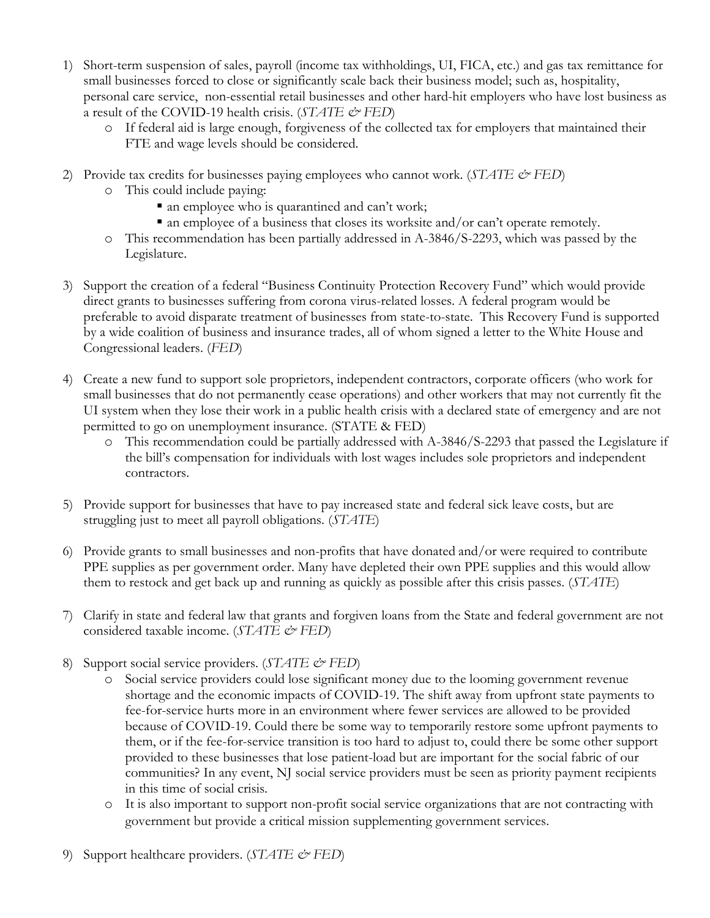- 1) Short-term suspension of sales, payroll (income tax withholdings, UI, FICA, etc.) and gas tax remittance for small businesses forced to close or significantly scale back their business model; such as, hospitality, personal care service, non-essential retail businesses and other hard-hit employers who have lost business as a result of the COVID-19 health crisis. (*STATE & FED*)
	- o If federal aid is large enough, forgiveness of the collected tax for employers that maintained their FTE and wage levels should be considered.
- 2) Provide tax credits for businesses paying employees who cannot work. (*STATE & FED*)
	- o This could include paying:
		- an employee who is quarantined and can't work;
		- an employee of a business that closes its worksite and/or can't operate remotely.
	- o This recommendation has been partially addressed in A-3846/S-2293, which was passed by the Legislature.
- 3) Support the creation of a federal "Business Continuity Protection Recovery Fund" which would provide direct grants to businesses suffering from corona virus-related losses. A federal program would be preferable to avoid disparate treatment of businesses from state-to-state. This Recovery Fund is supported by a wide coalition of business and insurance trades, all of whom signed a letter to the White House and Congressional leaders. (*FED*)
- 4) Create a new fund to support sole proprietors, independent contractors, corporate officers (who work for small businesses that do not permanently cease operations) and other workers that may not currently fit the UI system when they lose their work in a public health crisis with a declared state of emergency and are not permitted to go on unemployment insurance. (STATE & FED)
	- o This recommendation could be partially addressed with A-3846/S-2293 that passed the Legislature if the bill's compensation for individuals with lost wages includes sole proprietors and independent contractors.
- 5) Provide support for businesses that have to pay increased state and federal sick leave costs, but are struggling just to meet all payroll obligations. (*STATE*)
- 6) Provide grants to small businesses and non-profits that have donated and/or were required to contribute PPE supplies as per government order. Many have depleted their own PPE supplies and this would allow them to restock and get back up and running as quickly as possible after this crisis passes. (*STATE*)
- 7) Clarify in state and federal law that grants and forgiven loans from the State and federal government are not considered taxable income. (*STATE & FED*)
- 8) Support social service providers. (*STATE & FED*)
	- o Social service providers could lose significant money due to the looming government revenue shortage and the economic impacts of COVID-19. The shift away from upfront state payments to fee-for-service hurts more in an environment where fewer services are allowed to be provided because of COVID-19. Could there be some way to temporarily restore some upfront payments to them, or if the fee-for-service transition is too hard to adjust to, could there be some other support provided to these businesses that lose patient-load but are important for the social fabric of our communities? In any event, NJ social service providers must be seen as priority payment recipients in this time of social crisis.
	- o It is also important to support non-profit social service organizations that are not contracting with government but provide a critical mission supplementing government services.
- 9) Support healthcare providers. (*STATE & FED*)